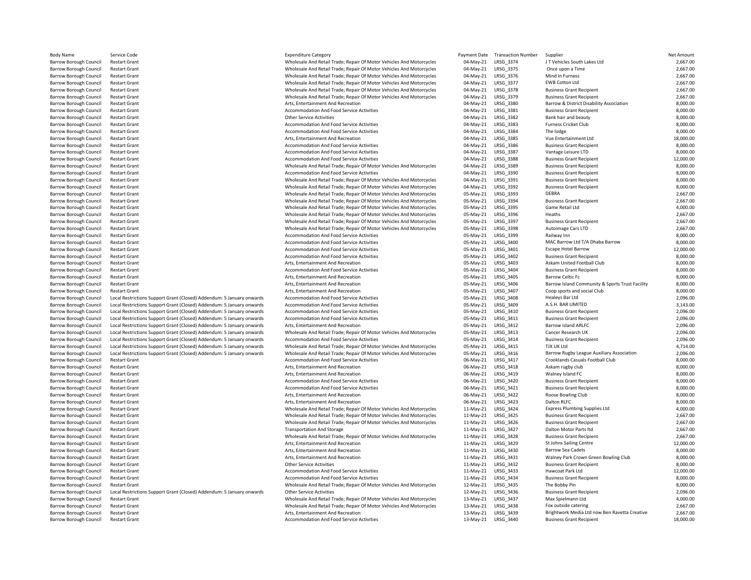| <b>Body Name</b>              | Service Code                                                          | <b>Expenditure Category</b>                                          | Payment Date | <b>Transaction Number</b> | Supplier                                        | Net Amount |
|-------------------------------|-----------------------------------------------------------------------|----------------------------------------------------------------------|--------------|---------------------------|-------------------------------------------------|------------|
| <b>Barrow Borough Council</b> | <b>Restart Grant</b>                                                  | Wholesale And Retail Trade; Repair Of Motor Vehicles And Motorcycles | 04-May-21    | LRSG 3374                 | JT Vehicles South Lakes Ltd                     | 2,667.00   |
| <b>Barrow Borough Council</b> | <b>Restart Grant</b>                                                  | Wholesale And Retail Trade; Repair Of Motor Vehicles And Motorcycles | 04-May-21    | LRSG 3375                 | Once upon a Time                                | 2,667.00   |
| <b>Barrow Borough Council</b> | <b>Restart Grant</b>                                                  | Wholesale And Retail Trade; Repair Of Motor Vehicles And Motorcycles | 04-May-21    | LRSG 3376                 | Mind In Furness                                 | 2,667.00   |
| <b>Barrow Borough Council</b> | <b>Restart Grant</b>                                                  | Wholesale And Retail Trade; Repair Of Motor Vehicles And Motorcycles | 04-May-21    | LRSG_3377                 | <b>EWB Cotton Ltd</b>                           | 2,667.00   |
| <b>Barrow Borough Council</b> | <b>Restart Grant</b>                                                  | Wholesale And Retail Trade; Repair Of Motor Vehicles And Motorcycles | 04-May-21    | LRSG_3378                 | <b>Business Grant Recipient</b>                 | 2,667.00   |
| <b>Barrow Borough Council</b> | <b>Restart Grant</b>                                                  | Wholesale And Retail Trade; Repair Of Motor Vehicles And Motorcycles | 04-May-21    | LRSG 3379                 | <b>Business Grant Recipient</b>                 | 2,667.00   |
| <b>Barrow Borough Council</b> | <b>Restart Grant</b>                                                  | Arts, Entertainment And Recreation                                   | 04-May-21    | LRSG_3380                 | Barrow & District Disability Association        | 8,000.00   |
| <b>Barrow Borough Council</b> | <b>Restart Grant</b>                                                  | Accommodation And Food Service Activities                            | 04-May-21    | LRSG_3381                 | <b>Business Grant Recipient</b>                 | 8,000.00   |
| <b>Barrow Borough Council</b> | <b>Restart Grant</b>                                                  | <b>Other Service Activities</b>                                      | 04-May-21    | LRSG 3382                 | Bank hair and beauty                            | 8,000.00   |
| <b>Barrow Borough Council</b> | <b>Restart Grant</b>                                                  | Accommodation And Food Service Activities                            | 04-May-21    | LRSG_3383                 | <b>Furness Cricket Club</b>                     | 8,000.00   |
| <b>Barrow Borough Council</b> | <b>Restart Grant</b>                                                  | Accommodation And Food Service Activities                            | 04-May-21    | LRSG 3384                 | The lodge                                       | 8,000.00   |
| <b>Barrow Borough Council</b> | <b>Restart Grant</b>                                                  | Arts, Entertainment And Recreation                                   | 04-May-21    | LRSG 3385                 | Vue Entertainment Ltd                           | 18,000.00  |
| <b>Barrow Borough Council</b> | <b>Restart Grant</b>                                                  | <b>Accommodation And Food Service Activities</b>                     | 04-May-21    | LRSG 3386                 | <b>Business Grant Recipient</b>                 | 8,000.00   |
| <b>Barrow Borough Council</b> | <b>Restart Grant</b>                                                  | Accommodation And Food Service Activities                            | 04-May-21    | LRSG 3387                 | Vantage Leisure LTD                             | 8,000.00   |
| <b>Barrow Borough Council</b> | <b>Restart Grant</b>                                                  | Accommodation And Food Service Activities                            | 04-May-21    | LRSG_3388                 | <b>Business Grant Recipient</b>                 | 12,000.00  |
| <b>Barrow Borough Council</b> | <b>Restart Grant</b>                                                  | Wholesale And Retail Trade; Repair Of Motor Vehicles And Motorcycles | 04-May-21    | LRSG 3389                 | <b>Business Grant Recipient</b>                 | 8,000.00   |
| <b>Barrow Borough Council</b> | <b>Restart Grant</b>                                                  | Accommodation And Food Service Activities                            | 04-May-21    | LRSG 3390                 | <b>Business Grant Recipient</b>                 | 8,000.00   |
| <b>Barrow Borough Council</b> | <b>Restart Grant</b>                                                  | Wholesale And Retail Trade; Repair Of Motor Vehicles And Motorcycles | 04-May-21    | LRSG 3391                 | <b>Business Grant Recipient</b>                 | 8,000.00   |
| <b>Barrow Borough Council</b> | <b>Restart Grant</b>                                                  | Wholesale And Retail Trade; Repair Of Motor Vehicles And Motorcycles | 04-May-21    | LRSG_3392                 | <b>Business Grant Recipient</b>                 | 8,000.00   |
| <b>Barrow Borough Council</b> | <b>Restart Grant</b>                                                  | Wholesale And Retail Trade; Repair Of Motor Vehicles And Motorcycles | 05-May-21    | LRSG_3393                 | DEBRA                                           | 2,667.00   |
| <b>Barrow Borough Council</b> | <b>Restart Grant</b>                                                  | Wholesale And Retail Trade; Repair Of Motor Vehicles And Motorcycles | 05-May-21    | LRSG_3394                 | <b>Business Grant Recipient</b>                 | 2,667.00   |
| <b>Barrow Borough Council</b> | <b>Restart Grant</b>                                                  | Wholesale And Retail Trade: Repair Of Motor Vehicles And Motorcycles | 05-May-21    | LRSG 3395                 | Game Retail Ltd                                 | 4.000.00   |
| <b>Barrow Borough Council</b> | <b>Restart Grant</b>                                                  | Wholesale And Retail Trade; Repair Of Motor Vehicles And Motorcycles | 05-May-21    | LRSG 3396                 | Heaths                                          | 2,667.00   |
| <b>Barrow Borough Council</b> | <b>Restart Grant</b>                                                  | Wholesale And Retail Trade; Repair Of Motor Vehicles And Motorcycles | 05-May-21    | LRSG 3397                 | <b>Business Grant Recipient</b>                 | 2,667.00   |
| <b>Barrow Borough Council</b> | <b>Restart Grant</b>                                                  | Wholesale And Retail Trade; Repair Of Motor Vehicles And Motorcycles | 05-May-21    | LRSG_3398                 | Autoimage Cars LTD                              | 2,667.00   |
| <b>Barrow Borough Council</b> | <b>Restart Grant</b>                                                  | Accommodation And Food Service Activities                            | 05-May-21    | LRSG 3399                 | Railway Inn                                     | 8,000.00   |
| <b>Barrow Borough Council</b> | <b>Restart Grant</b>                                                  | Accommodation And Food Service Activities                            | 05-May-21    | LRSG 3400                 | MAC Barrow Ltd T/A Dhaba Barrow                 | 8,000.00   |
| <b>Barrow Borough Council</b> | <b>Restart Grant</b>                                                  | Accommodation And Food Service Activities                            | 05-May-21    | LRSG 3401                 | <b>Escape Hotel Barrow</b>                      | 12,000.00  |
| <b>Barrow Borough Council</b> | <b>Restart Grant</b>                                                  | Accommodation And Food Service Activities                            | 05-May-21    | LRSG 3402                 | <b>Business Grant Recipient</b>                 | 8,000.00   |
| <b>Barrow Borough Council</b> | <b>Restart Grant</b>                                                  | Arts, Entertainment And Recreation                                   | 05-May-21    | LRSG 3403                 | Askam United Football Club                      | 8,000.00   |
| <b>Barrow Borough Council</b> | <b>Restart Grant</b>                                                  | Accommodation And Food Service Activities                            | 05-May-21    | LRSG_3404                 | <b>Business Grant Recipient</b>                 | 8,000.00   |
| <b>Barrow Borough Council</b> | <b>Restart Grant</b>                                                  | Arts, Entertainment And Recreation                                   | 05-May-21    | LRSG_3405                 | <b>Barrow Celtic Fc</b>                         | 8,000.00   |
| <b>Barrow Borough Council</b> | <b>Restart Grant</b>                                                  | Arts, Entertainment And Recreation                                   | 05-May-21    | LRSG_3406                 | Barrow Island Community & Sports Trust Facility | 8,000.00   |
| <b>Barrow Borough Council</b> | <b>Restart Grant</b>                                                  | Arts, Entertainment And Recreation                                   | 05-May-21    | LRSG_3407                 | Coop sports and social Club                     | 8,000.00   |
| <b>Barrow Borough Council</b> | Local Restrictions Support Grant (Closed) Addendum: 5 January onwards | Accommodation And Food Service Activities                            | 05-May-21    | LRSG 3408                 | Healeys Bar Ltd                                 | 2,096.00   |
| <b>Barrow Borough Council</b> | Local Restrictions Support Grant (Closed) Addendum: 5 January onwards | Accommodation And Food Service Activities                            | 05-May-21    | LRSG 3409                 | A.S.H. BAR LIMITED                              | 3,143.00   |
| <b>Barrow Borough Council</b> | Local Restrictions Support Grant (Closed) Addendum: 5 January onwards | Accommodation And Food Service Activities                            | 05-May-21    | LRSG 3410                 | <b>Business Grant Recipient</b>                 | 2,096.00   |
| <b>Barrow Borough Council</b> | Local Restrictions Support Grant (Closed) Addendum: 5 January onwards | Accommodation And Food Service Activities                            | 05-May-21    | LRSG 3411                 | <b>Business Grant Recipient</b>                 | 2,096.00   |
| <b>Barrow Borough Council</b> | Local Restrictions Support Grant (Closed) Addendum: 5 January onwards | Arts, Entertainment And Recreation                                   | 05-May-21    | LRSG 3412                 | <b>Barrow island ARLFC</b>                      | 2,096.00   |
| <b>Barrow Borough Council</b> | Local Restrictions Support Grant (Closed) Addendum: 5 January onwards | Wholesale And Retail Trade; Repair Of Motor Vehicles And Motorcycles | 05-May-21    | LRSG_3413                 | Cancer Research UK                              | 2,096.00   |
| <b>Barrow Borough Council</b> | Local Restrictions Support Grant (Closed) Addendum: 5 January onwards | Accommodation And Food Service Activities                            | 05-May-21    | LRSG 3414                 | <b>Business Grant Recipient</b>                 | 2,096.00   |
| <b>Barrow Borough Council</b> | Local Restrictions Support Grant (Closed) Addendum: 5 January onwards | Wholesale And Retail Trade; Repair Of Motor Vehicles And Motorcycles | 05-May-21    | LRSG 3415                 | TJX UK Ltd                                      | 4,714.00   |
| <b>Barrow Borough Council</b> | Local Restrictions Support Grant (Closed) Addendum: 5 January onwards | Wholesale And Retail Trade; Repair Of Motor Vehicles And Motorcycles | 05-May-21    | LRSG 3416                 | Barrow Rugby League Auxiliary Association       | 2,096.00   |
| <b>Barrow Borough Council</b> | <b>Restart Grant</b>                                                  | Accommodation And Food Service Activities                            | 06-May-21    | LRSG_3417                 | Crooklands Casuals Football Club                | 8,000.00   |
| <b>Barrow Borough Council</b> | <b>Restart Grant</b>                                                  | Arts, Entertainment And Recreation                                   | 06-May-21    | LRSG_3418                 | Askam rugby club                                | 8,000.00   |
| <b>Barrow Borough Council</b> | <b>Restart Grant</b>                                                  | Arts, Entertainment And Recreation                                   | 06-May-21    | LRSG_3419                 | Walney Island FC                                | 8,000.00   |
| <b>Barrow Borough Council</b> | <b>Restart Grant</b>                                                  | Accommodation And Food Service Activities                            | 06-May-21    | LRSG_3420                 | <b>Business Grant Recipient</b>                 | 8,000.00   |
| <b>Barrow Borough Council</b> | <b>Restart Grant</b>                                                  | <b>Accommodation And Food Service Activities</b>                     | 06-May-21    | LRSG_3421                 | <b>Business Grant Recipient</b>                 | 8,000.00   |
| <b>Barrow Borough Council</b> | <b>Restart Grant</b>                                                  | Arts, Entertainment And Recreation                                   | 06-May-21    | LRSG 3422                 | Roose Bowling Club                              | 8,000.00   |
| <b>Barrow Borough Council</b> | <b>Restart Grant</b>                                                  | Arts, Entertainment And Recreation                                   | 06-May-21    | LRSG_3423                 | Dalton RLFC                                     | 8,000.00   |
| <b>Barrow Borough Council</b> | <b>Restart Grant</b>                                                  | Wholesale And Retail Trade; Repair Of Motor Vehicles And Motorcycles | 11-May-21    | LRSG 3424                 | <b>Express Plumbing Supplies Ltd</b>            | 4,000.00   |
| <b>Barrow Borough Council</b> | <b>Restart Grant</b>                                                  | Wholesale And Retail Trade; Repair Of Motor Vehicles And Motorcycles | 11-May-21    | LRSG_3425                 | <b>Business Grant Recipient</b>                 | 2,667.00   |
| <b>Barrow Borough Council</b> | <b>Restart Grant</b>                                                  | Wholesale And Retail Trade; Repair Of Motor Vehicles And Motorcycles | 11-May-21    | LRSG 3426                 | <b>Business Grant Recipient</b>                 | 2,667.00   |
| <b>Barrow Borough Council</b> | <b>Restart Grant</b>                                                  | <b>Transportation And Storage</b>                                    | 11-May-21    | LRSG 3427                 | Dalton Motor Parts Itd                          | 2,667.00   |
| <b>Barrow Borough Council</b> | <b>Restart Grant</b>                                                  | Wholesale And Retail Trade; Repair Of Motor Vehicles And Motorcycles | 11-May-21    | LRSG_3428                 | <b>Business Grant Recipient</b>                 | 2,667.00   |
| <b>Barrow Borough Council</b> | <b>Restart Grant</b>                                                  | Arts, Entertainment And Recreation                                   | 11-May-21    | LRSG 3429                 | <b>St Johns Sailing Centre</b>                  | 12,000.00  |
| <b>Barrow Borough Council</b> | <b>Restart Grant</b>                                                  | Arts, Entertainment And Recreation                                   | 11-May-21    | LRSG_3430                 | <b>Barrow Sea Cadets</b>                        | 8,000.00   |
| <b>Barrow Borough Council</b> | <b>Restart Grant</b>                                                  | Arts, Entertainment And Recreation                                   | 11-May-21    | LRSG_3431                 | Walney Park Crown Green Bowling Club            | 8,000.00   |
| <b>Barrow Borough Council</b> | <b>Restart Grant</b>                                                  | <b>Other Service Activities</b>                                      | 11-May-21    | LRSG_3432                 | <b>Business Grant Recipient</b>                 | 8,000.00   |
| <b>Barrow Borough Council</b> | <b>Restart Grant</b>                                                  | Accommodation And Food Service Activities                            | 11-May-21    | LRSG_3433                 | Hawcoat Park Ltd                                | 12,000.00  |
| <b>Barrow Borough Council</b> | <b>Restart Grant</b>                                                  | Accommodation And Food Service Activities                            | 11-May-21    | LRSG 3434                 | <b>Business Grant Recipient</b>                 | 8,000.00   |
| <b>Barrow Borough Council</b> | <b>Restart Grant</b>                                                  | Wholesale And Retail Trade; Repair Of Motor Vehicles And Motorcycles | 12-May-21    | LRSG 3435                 | The Bobby Pin                                   | 8,000.00   |
| <b>Barrow Borough Council</b> | Local Restrictions Support Grant (Closed) Addendum: 5 January onwards | <b>Other Service Activities</b>                                      | 12-May-21    | LRSG 3436                 | <b>Business Grant Recipient</b>                 | 2,096.00   |
| <b>Barrow Borough Council</b> | <b>Restart Grant</b>                                                  | Wholesale And Retail Trade; Repair Of Motor Vehicles And Motorcycles | 13-May-21    | LRSG 3437                 | Max Spielmann Ltd                               | 4,000.00   |
| <b>Barrow Borough Council</b> | <b>Restart Grant</b>                                                  | Wholesale And Retail Trade; Repair Of Motor Vehicles And Motorcycles | 13-May-21    | LRSG_3438                 | Fox outside catering                            | 2,667.00   |
| <b>Barrow Borough Council</b> | <b>Restart Grant</b>                                                  | Arts, Entertainment And Recreation                                   | 13-May-21    | LRSG 3439                 | Brightwork Media Ltd now Ben Ravetta Creative   | 2,667.00   |
| Barrow Borough Council        | <b>Restart Grant</b>                                                  | Accommodation And Food Service Activities                            |              | 13-May-21 LRSG 3440       | <b>Business Grant Recipient</b>                 | 18,000.00  |